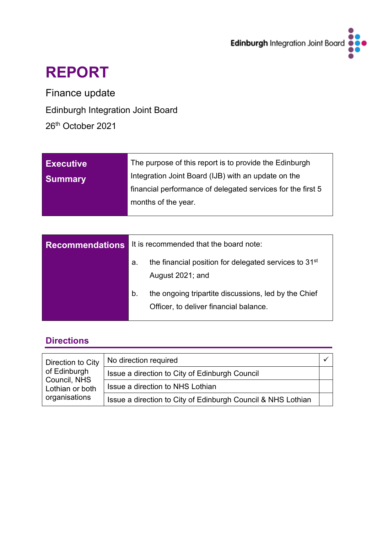

# **REPORT**

Finance update

Edinburgh Integration Joint Board

26<sup>th</sup> October 2021

| <b>Executive</b> | The purpose of this report is to provide the Edinburgh      |
|------------------|-------------------------------------------------------------|
| <b>Summary</b>   | Integration Joint Board (IJB) with an update on the         |
|                  | financial performance of delegated services for the first 5 |
|                  | months of the year.                                         |
|                  |                                                             |

| <b>Recommendations</b> | It is recommended that the board note:                                                               |  |  |  |  |  |  |
|------------------------|------------------------------------------------------------------------------------------------------|--|--|--|--|--|--|
|                        | the financial position for delegated services to 31 <sup>st</sup><br>а.<br>August 2021; and          |  |  |  |  |  |  |
|                        | the ongoing tripartite discussions, led by the Chief<br>b.<br>Officer, to deliver financial balance. |  |  |  |  |  |  |

# **Directions**

| Direction to City                                                | No direction required                                        |  |
|------------------------------------------------------------------|--------------------------------------------------------------|--|
| of Edinburgh<br>Council, NHS<br>Lothian or both<br>organisations | Issue a direction to City of Edinburgh Council               |  |
|                                                                  | Issue a direction to NHS Lothian                             |  |
|                                                                  | Issue a direction to City of Edinburgh Council & NHS Lothian |  |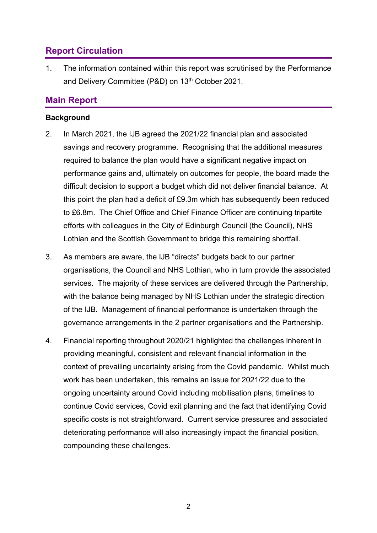## **Report Circulation**

1. The information contained within this report was scrutinised by the Performance and Delivery Committee (P&D) on 13<sup>th</sup> October 2021.

## **Main Report**

#### **Background**

- 2. In March 2021, the IJB agreed the 2021/22 financial plan and associated savings and recovery programme. Recognising that the additional measures required to balance the plan would have a significant negative impact on performance gains and, ultimately on outcomes for people, the board made the difficult decision to support a budget which did not deliver financial balance. At this point the plan had a deficit of £9.3m which has subsequently been reduced to £6.8m. The Chief Office and Chief Finance Officer are continuing tripartite efforts with colleagues in the City of Edinburgh Council (the Council), NHS Lothian and the Scottish Government to bridge this remaining shortfall.
- 3. As members are aware, the IJB "directs" budgets back to our partner organisations, the Council and NHS Lothian, who in turn provide the associated services. The majority of these services are delivered through the Partnership, with the balance being managed by NHS Lothian under the strategic direction of the IJB. Management of financial performance is undertaken through the governance arrangements in the 2 partner organisations and the Partnership.
- 4. Financial reporting throughout 2020/21 highlighted the challenges inherent in providing meaningful, consistent and relevant financial information in the context of prevailing uncertainty arising from the Covid pandemic. Whilst much work has been undertaken, this remains an issue for 2021/22 due to the ongoing uncertainty around Covid including mobilisation plans, timelines to continue Covid services, Covid exit planning and the fact that identifying Covid specific costs is not straightforward. Current service pressures and associated deteriorating performance will also increasingly impact the financial position, compounding these challenges.

2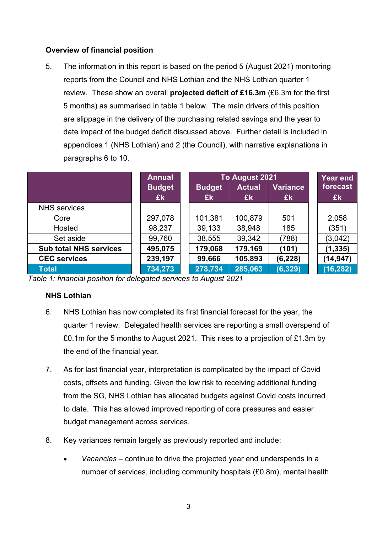## **Overview of financial position**

5. The information in this report is based on the period 5 (August 2021) monitoring reports from the Council and NHS Lothian and the NHS Lothian quarter 1 review. These show an overall **projected deficit of £16.3m** (£6.3m for the first 5 months) as summarised in table 1 below. The main drivers of this position are slippage in the delivery of the purchasing related savings and the year to date impact of the budget deficit discussed above. Further detail is included in appendices 1 (NHS Lothian) and 2 (the Council), with narrative explanations in paragraphs 6 to 10.

|                               | <b>Annual</b><br><b>Budget</b><br>£k | To August 2021<br><b>Budget</b><br>£k | <b>Year end</b><br>forecast<br>£k |          |           |
|-------------------------------|--------------------------------------|---------------------------------------|-----------------------------------|----------|-----------|
| <b>NHS</b> services           |                                      |                                       | £k                                | £k       |           |
| Core                          | 297,078                              | 101,381                               | 100,879                           | 501      | 2,058     |
| Hosted                        | 98,237                               | 39,133                                | 38,948                            | 185      | (351)     |
| Set aside                     | 99,760                               | 38,555                                | 39,342                            | (788)    | (3,042)   |
| <b>Sub total NHS services</b> | 495,075                              | 179,068                               | 179,169                           | (101)    | (1, 335)  |
| <b>CEC</b> services           | 239,197                              | 99,666                                | 105,893                           | (6, 228) | (14, 947) |
| Total                         | 734,273                              | 278,734                               | 285,063                           | (6, 329) | (16, 282) |

*Table 1: financial position for delegated services to August 2021*

## **NHS Lothian**

- 6. NHS Lothian has now completed its first financial forecast for the year, the quarter 1 review. Delegated health services are reporting a small overspend of £0.1m for the 5 months to August 2021. This rises to a projection of £1.3m by the end of the financial year.
- 7. As for last financial year, interpretation is complicated by the impact of Covid costs, offsets and funding. Given the low risk to receiving additional funding from the SG, NHS Lothian has allocated budgets against Covid costs incurred to date. This has allowed improved reporting of core pressures and easier budget management across services.
- 8. Key variances remain largely as previously reported and include:
	- *Vacancies –* continue to drive the projected year end underspends in a number of services, including community hospitals (£0.8m), mental health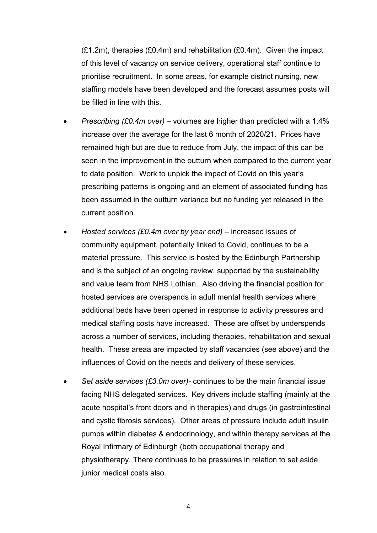$(E1.2m)$ , therapies  $(E0.4m)$  and rehabilitation  $(E0.4m)$ . Given the impact of this level of vacancy on service delivery, operational staff continue to prioritise recruitment. In some areas, for example district nursing, new staffing models have been developed and the forecast assumes posts will be filled in line with this.

- *Prescribing (£0.4m over) –* volumes are higher than predicted with a 1.4% increase over the average for the last 6 month of 2020/21. Prices have remained high but are due to reduce from July, the impact of this can be seen in the improvement in the outturn when compared to the current year to date position. Work to unpick the impact of Covid on this year's prescribing patterns is ongoing and an element of associated funding has been assumed in the outturn variance but no funding yet released in the current position.
- *Hosted services (£0.4m over by year end) –* increased issues of community equipment, potentially linked to Covid, continues to be a material pressure. This service is hosted by the Edinburgh Partnership and is the subject of an ongoing review, supported by the sustainability and value team from NHS Lothian. Also driving the financial position for hosted services are overspends in adult mental health services where additional beds have been opened in response to activity pressures and medical staffing costs have increased. These are offset by underspends across a number of services, including therapies, rehabilitation and sexual health. These areaa are impacted by staff vacancies (see above) and the influences of Covid on the needs and delivery of these services.
- *Set aside services (£3.0m over)-* continues to be the main financial issue facing NHS delegated services. Key drivers include staffing (mainly at the acute hospital's front doors and in therapies) and drugs (in gastrointestinal and cystic fibrosis services). Other areas of pressure include adult insulin pumps within diabetes & endocrinology, and within therapy services at the Royal Infirmary of Edinburgh (both occupational therapy and physiotherapy. Ther*e* continues to be pressures in relation to set aside junior medical costs also.

4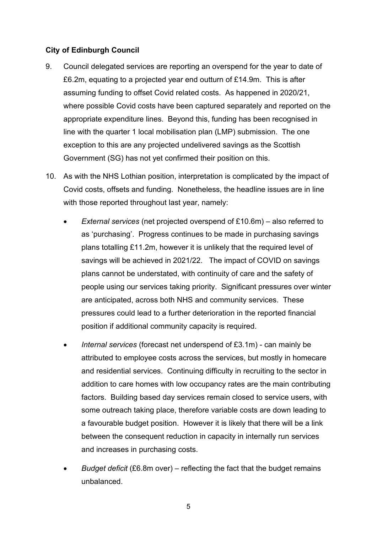### **City of Edinburgh Council**

- 9. Council delegated services are reporting an overspend for the year to date of £6.2m, equating to a projected year end outturn of £14.9m. This is after assuming funding to offset Covid related costs. As happened in 2020/21, where possible Covid costs have been captured separately and reported on the appropriate expenditure lines. Beyond this, funding has been recognised in line with the quarter 1 local mobilisation plan (LMP) submission. The one exception to this are any projected undelivered savings as the Scottish Government (SG) has not yet confirmed their position on this.
- 10. As with the NHS Lothian position, interpretation is complicated by the impact of Covid costs, offsets and funding. Nonetheless, the headline issues are in line with those reported throughout last year, namely:
	- *External services* (net projected overspend of £10.6m) also referred to as 'purchasing'. Progress continues to be made in purchasing savings plans totalling £11.2m, however it is unlikely that the required level of savings will be achieved in 2021/22. The impact of COVID on savings plans cannot be understated, with continuity of care and the safety of people using our services taking priority. Significant pressures over winter are anticipated, across both NHS and community services. These pressures could lead to a further deterioration in the reported financial position if additional community capacity is required.
	- *Internal services* (forecast net underspend of £3.1m) can mainly be attributed to employee costs across the services, but mostly in homecare and residential services. Continuing difficulty in recruiting to the sector in addition to care homes with low occupancy rates are the main contributing factors. Building based day services remain closed to service users, with some outreach taking place, therefore variable costs are down leading to a favourable budget position. However it is likely that there will be a link between the consequent reduction in capacity in internally run services and increases in purchasing costs.
	- *Budget deficit* (£6.8m over) reflecting the fact that the budget remains unbalanced.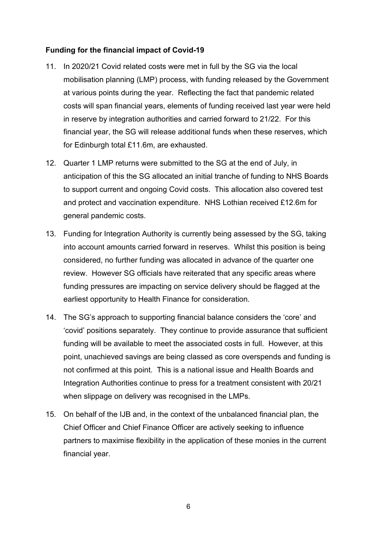### **Funding for the financial impact of Covid-19**

- 11. In 2020/21 Covid related costs were met in full by the SG via the local mobilisation planning (LMP) process, with funding released by the Government at various points during the year. Reflecting the fact that pandemic related costs will span financial years, elements of funding received last year were held in reserve by integration authorities and carried forward to 21/22. For this financial year, the SG will release additional funds when these reserves, which for Edinburgh total £11.6m, are exhausted.
- 12. Quarter 1 LMP returns were submitted to the SG at the end of July, in anticipation of this the SG allocated an initial tranche of funding to NHS Boards to support current and ongoing Covid costs. This allocation also covered test and protect and vaccination expenditure. NHS Lothian received £12.6m for general pandemic costs.
- 13. Funding for Integration Authority is currently being assessed by the SG, taking into account amounts carried forward in reserves. Whilst this position is being considered, no further funding was allocated in advance of the quarter one review. However SG officials have reiterated that any specific areas where funding pressures are impacting on service delivery should be flagged at the earliest opportunity to Health Finance for consideration.
- 14. The SG's approach to supporting financial balance considers the 'core' and 'covid' positions separately. They continue to provide assurance that sufficient funding will be available to meet the associated costs in full. However, at this point, unachieved savings are being classed as core overspends and funding is not confirmed at this point. This is a national issue and Health Boards and Integration Authorities continue to press for a treatment consistent with 20/21 when slippage on delivery was recognised in the LMPs.
- 15. On behalf of the IJB and, in the context of the unbalanced financial plan, the Chief Officer and Chief Finance Officer are actively seeking to influence partners to maximise flexibility in the application of these monies in the current financial year.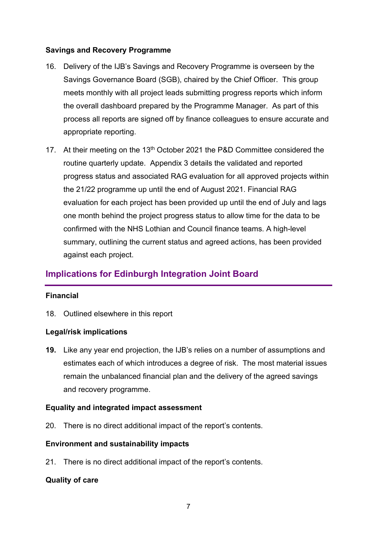### **Savings and Recovery Programme**

- 16. Delivery of the IJB's Savings and Recovery Programme is overseen by the Savings Governance Board (SGB), chaired by the Chief Officer. This group meets monthly with all project leads submitting progress reports which inform the overall dashboard prepared by the Programme Manager. As part of this process all reports are signed off by finance colleagues to ensure accurate and appropriate reporting.
- 17. At their meeting on the  $13<sup>th</sup>$  October 2021 the P&D Committee considered the routine quarterly update. Appendix 3 details the validated and reported progress status and associated RAG evaluation for all approved projects within the 21/22 programme up until the end of August 2021. Financial RAG evaluation for each project has been provided up until the end of July and lags one month behind the project progress status to allow time for the data to be confirmed with the NHS Lothian and Council finance teams. A high-level summary, outlining the current status and agreed actions, has been provided against each project.

## **Implications for Edinburgh Integration Joint Board**

## **Financial**

18. Outlined elsewhere in this report

#### **Legal/risk implications**

**19.** Like any year end projection, the IJB's relies on a number of assumptions and estimates each of which introduces a degree of risk. The most material issues remain the unbalanced financial plan and the delivery of the agreed savings and recovery programme.

## **Equality and integrated impact assessment**

20. There is no direct additional impact of the report's contents.

#### **Environment and sustainability impacts**

21. There is no direct additional impact of the report's contents.

#### **Quality of care**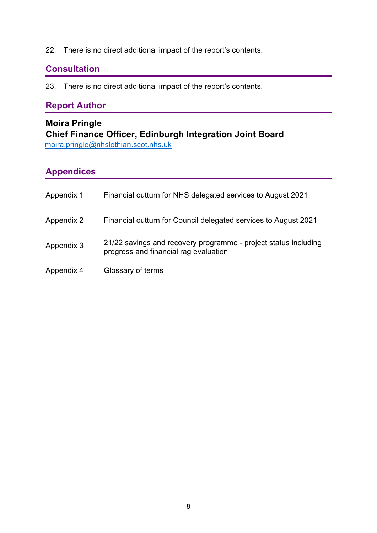22. There is no direct additional impact of the report's contents.

## **Consultation**

23. There is no direct additional impact of the report's contents.

## **Report Author**

## **Moira Pringle Chief Finance Officer, Edinburgh Integration Joint Board**  [moira.pringle@nhslothian.scot.nhs.uk](mailto:moira.pringle@nhslothian.scot.nhs.uk)

# **Appendices**

| Appendix 1 | Financial outturn for NHS delegated services to August 2021                                              |
|------------|----------------------------------------------------------------------------------------------------------|
| Appendix 2 | Financial outturn for Council delegated services to August 2021                                          |
| Appendix 3 | 21/22 savings and recovery programme - project status including<br>progress and financial rag evaluation |
| Appendix 4 | Glossary of terms                                                                                        |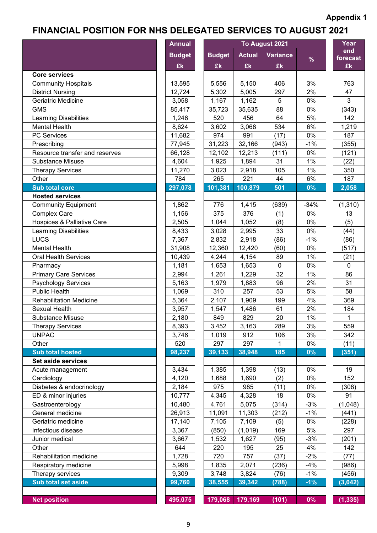# **FINANCIAL POSITION FOR NHS DELEGATED SERVICES TO AUGUST 2021**

|                                       | <b>Annual</b> | Year          |               |                 |        |                 |
|---------------------------------------|---------------|---------------|---------------|-----------------|--------|-----------------|
|                                       | <b>Budget</b> | <b>Budget</b> | <b>Actual</b> | <b>Variance</b> |        | end<br>forecast |
|                                       | £k            | £k            | £k            | £k              | $\%$   | £k              |
| <b>Core services</b>                  |               |               |               |                 |        |                 |
| <b>Community Hospitals</b>            | 13,595        | 5,556         | 5,150         | 406             | 3%     | 763             |
| <b>District Nursing</b>               | 12,724        | 5,302         | 5,005         | 297             | 2%     | 47              |
| Geriatric Medicine                    | 3,058         | 1,167         | 1,162         | 5               | 0%     | $\mathbf{3}$    |
| <b>GMS</b>                            | 85,417        | 35,723        | 35,635        | 88              | 0%     | (343)           |
| <b>Learning Disabilities</b>          | 1,246         | 520           | 456           | 64              | 5%     | 142             |
| <b>Mental Health</b>                  | 8,624         | 3,602         | 3,068         | 534             | 6%     | 1,219           |
| <b>PC Services</b>                    | 11,682        | 974           | 991           | (17)            | 0%     | 187             |
| Prescribing                           | 77,945        | 31,223        | 32,166        | (943)           | $-1%$  | (355)           |
| Resource transfer and reserves        | 66,128        | 12,102        | 12,213        | (111)           | 0%     | (121)           |
| <b>Substance Misuse</b>               | 4,604         | 1,925         | 1,894         | 31              | 1%     | (22)            |
| <b>Therapy Services</b>               | 11,270        | 3,023         | 2,918         | 105             | 1%     | 350             |
| Other                                 | 784           | 265           | 221           | 44              | 6%     | 187             |
| <b>Sub total core</b>                 | 297,078       | 101,381       | 100,879       | 501             | 0%     | 2,058           |
| <b>Hosted services</b>                |               |               |               |                 |        |                 |
| <b>Community Equipment</b>            | 1,862         | 776           | 1,415         | (639)           | $-34%$ | (1, 310)        |
| <b>Complex Care</b>                   | 1,156         | 375           | 376           | (1)             | 0%     | 13              |
| <b>Hospices &amp; Palliative Care</b> | 2,505         | 1,044         | 1,052         | (8)             | 0%     | (5)             |
| <b>Learning Disabilities</b>          | 8,433         | 3,028         | 2,995         | 33              | 0%     | (44)            |
| LUCS                                  | 7,367         | 2,832         | 2,918         | (86)            | $-1%$  | (86)            |
| <b>Mental Health</b>                  | 31,908        | 12,360        | 12,420        | (60)            | 0%     | (517)           |
| <b>Oral Health Services</b>           | 10,439        | 4,244         | 4,154         | 89              | 1%     | (21)            |
| Pharmacy                              | 1,181         | 1,653         | 1,653         | $\mathbf 0$     | 0%     | $\mathbf 0$     |
| <b>Primary Care Services</b>          | 2,994         | 1,261         | 1,229         | 32              | 1%     | 86              |
| <b>Psychology Services</b>            | 5,163         | 1,979         | 1,883         | 96              | 2%     | 31              |
| <b>Public Health</b>                  | 1,069         | 310           | 257           | 53              | 5%     | 58              |
| <b>Rehabilitation Medicine</b>        | 5,364         | 2,107         | 1,909         | 199             | 4%     | 369             |
| <b>Sexual Health</b>                  | 3,957         | 1,547         | 1,486         | 61              | 2%     | 184             |
| <b>Substance Misuse</b>               | 2,180         | 849           | 829           | 20              | 1%     | $\mathbf 1$     |
| <b>Therapy Services</b>               | 8,393         | 3,452         | 3,163         | 289             | 3%     | 559             |
| <b>UNPAC</b>                          | 3,746         | 1,019         | 912           | 106             | 3%     | 342             |
| Other                                 | 520           | 297           | 297           | 1               | $0\%$  | (11)            |
| <b>Sub total hosted</b>               | 98,237        | 39,133        | 38,948        | 185             | $0\%$  | (351)           |
| Set aside services                    |               |               |               |                 |        |                 |
| Acute management                      | 3,434         | 1,385         | 1,398         | (13)            | 0%     | 19              |
| Cardiology                            | 4,120         | 1,688         | 1,690         | (2)             | $0\%$  | 152             |
| Diabetes & endocrinology              | 2,184         | 975           | 985           | (11)            | 0%     | (308)           |
| ED & minor injuries                   | 10,777        | 4,345         | 4,328         | 18              | 0%     | 91              |
| Gastroenterology                      | 10,480        | 4,761         | 5,075         | (314)           | $-3%$  | (1,048)         |
| General medicine                      | 26,913        | 11,091        | 11,303        | (212)           | $-1%$  | (441)           |
| Geriatric medicine                    | 17,140        | 7,105         | 7,109         | (5)             | 0%     | (228)           |
| Infectious disease                    | 3,367         | (850)         | (1,019)       | 169             | 5%     | 297             |
| Junior medical                        | 3,667         | 1,532         | 1,627         | (95)            | $-3%$  | (201)           |
| Other                                 | 644           | 220           | 195           | 25              | 4%     | 142             |
| Rehabilitation medicine               | 1,728         | 720           | 757           | (37)            | $-2%$  | (77)            |
| Respiratory medicine                  | 5,998         | 1,835         | 2,071         | (236)           | $-4%$  | (986)           |
| Therapy services                      | 9,309         | 3,748         | 3,824         | (76)            | $-1%$  | (456)           |
| <b>Sub total set aside</b>            | 99,760        | 38,555        | 39,342        | (788)           | $-1%$  | (3,042)         |
|                                       |               |               |               |                 |        |                 |
| <b>Net position</b>                   | 495,075       | 179,068       | 179,169       | (101)           | $0\%$  | (1, 335)        |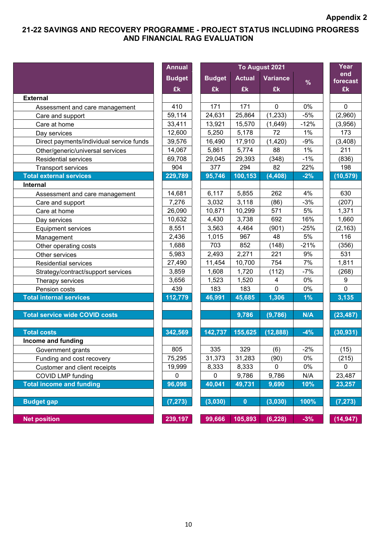## **21-22 SAVINGS AND RECOVERY PROGRAMME - PROJECT STATUS INCLUDING PROGRESS AND FINANCIAL RAG EVALUATION**

|                                          | <b>Annual</b> |               |               | To August 2021  |               |
|------------------------------------------|---------------|---------------|---------------|-----------------|---------------|
|                                          | <b>Budget</b> | <b>Budget</b> | <b>Actual</b> | <b>Variance</b> |               |
|                                          | £k            | £k            | £k            | £k              | $\frac{9}{6}$ |
| <b>External</b>                          |               |               |               |                 |               |
| Assessment and care management           | 410           | 171           | 171           | $\mathbf 0$     | 0%            |
| Care and support                         | 59,114        | 24,631        | 25,864        | (1, 233)        | $-5%$         |
| Care at home                             | 33,411        | 13,921        | 15,570        | (1,649)         | $-12%$        |
| Day services                             | 12,600        | 5,250         | 5,178         | 72              | 1%            |
| Direct payments/individual service funds | 39,576        | 16,490        | 17,910        | (1,420)         | $-9%$         |
| Other/generic/universal services         | 14,067        | 5,861         | 5,774         | 88              | 1%            |
| <b>Residential services</b>              | 69,708        | 29,045        | 29,393        | (348)           | $-1%$         |
| <b>Transport services</b>                | 904           | 377           | 294           | 82              | 22%           |
| <b>Total external services</b>           | 229,789       | 95,746        | 100,153       | (4, 408)        | $-2%$         |
| Internal                                 |               |               |               |                 |               |
| Assessment and care management           | 14,681        | 6,117         | 5,855         | 262             | 4%            |
| Care and support                         | 7,276         | 3,032         | 3,118         | (86)            | $-3%$         |
| Care at home                             | 26,090        | 10,871        | 10,299        | 571             | 5%            |
| Day services                             | 10,632        | 4,430         | 3,738         | 692             | 16%           |
| <b>Equipment services</b>                | 8,551         | 3,563         | 4,464         | (901)           | $-25%$        |
| Management                               | 2,436         | 1,015         | 967           | 48              | 5%            |
| Other operating costs                    | 1,688         | 703           | 852           | (148)           | $-21%$        |
| Other services                           | 5,983         | 2,493         | 2,271         | 221             | 9%            |
| <b>Residential services</b>              | 27,490        | 11,454        | 10,700        | 754             | 7%            |
| Strategy/contract/support services       | 3,859         | 1,608         | 1,720         | (112)           | $-7%$         |
| Therapy services                         | 3,656         | 1,523         | 1,520         | 4               | $0\%$         |
| Pension costs                            | 439           | 183           | 183           | $\mathbf 0$     | 0%            |
| <b>Total internal services</b>           | 112,779       | 46,991        | 45,685        | 1,306           | 1%            |
| <b>Total service wide COVID costs</b>    |               |               | 9,786         | (9,786)         | N/A           |
| <b>Total costs</b>                       | 342,569       | 142,737       | 155,625       | (12, 888)       | $-4%$         |
| Income and funding                       |               |               |               |                 |               |
| Government grants                        | 805           | 335           | 329           | (6)             | $-2\%$        |
| Funding and cost recovery                | 75,295        | 31,373        | 31,283        | (90)            | $0\%$         |
| Customer and client receipts             | 19,999        | 8,333         | 8,333         | 0               | 0%            |
| COVID LMP funding                        | 0             | 0             | 9,786         | 9,786           | N/A           |
| <b>Total income and funding</b>          | 96,098        | 40,041        | 49,731        | 9,690           | 10%           |
| <b>Budget gap</b>                        | (7, 273)      | (3,030)       | $\mathbf{0}$  | (3,030)         | 100%          |
| <b>Net position</b>                      | 239,197       | 99,666        | 105,893       | (6, 228)        | $-3%$         |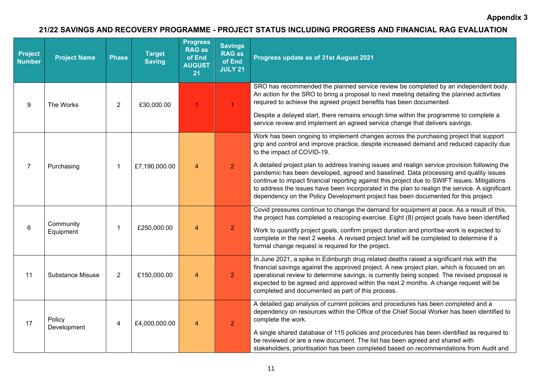## **21/22 SAVINGS AND RECOVERY PROGRAMME - PROJECT STATUS INCLUDING PROGRESS AND FINANCIAL RAG EVALUATION**

| <b>Project</b><br><b>Number</b> | <b>Project Name</b>               | <b>Phase</b>   | <b>Target</b><br><b>Saving</b> | <b>Progress</b><br><b>RAG as</b><br>of End<br><b>AUGUST</b><br>21 | <b>Savings</b><br><b>RAG as</b><br>of End<br><b>JULY 21</b>                                                                                                                                                                                    | Progress update as of 31st August 2021                                                                                                                                                                                                                                                                                                                                                                                                                                          |
|---------------------------------|-----------------------------------|----------------|--------------------------------|-------------------------------------------------------------------|------------------------------------------------------------------------------------------------------------------------------------------------------------------------------------------------------------------------------------------------|---------------------------------------------------------------------------------------------------------------------------------------------------------------------------------------------------------------------------------------------------------------------------------------------------------------------------------------------------------------------------------------------------------------------------------------------------------------------------------|
| 9                               | The Works                         | $\overline{2}$ | £30,000.00                     | 1                                                                 | $\mathbf{1}$                                                                                                                                                                                                                                   | SRO has recommended the planned service review be completed by an independent body.<br>An action for the SRO to bring a proposal to next meeting detailing the planned activities<br>required to achieve the agreed project benefits has been documented.                                                                                                                                                                                                                       |
|                                 |                                   |                |                                |                                                                   |                                                                                                                                                                                                                                                | Despite a delayed start, there remains enough time within the programme to complete a<br>service review and implement an agreed service change that delivers savings.                                                                                                                                                                                                                                                                                                           |
|                                 |                                   |                |                                |                                                                   |                                                                                                                                                                                                                                                | Work has been ongoing to implement changes across the purchasing project that support<br>grip and control and improve practice, despite increased demand and reduced capacity due<br>to the impact of COVID-19.                                                                                                                                                                                                                                                                 |
| $\overline{7}$                  | Purchasing                        | -1             | £7,190,000.00                  | $\overline{4}$                                                    | $\overline{2}$                                                                                                                                                                                                                                 | A detailed project plan to address training issues and realign service provision following the<br>pandemic has been developed, agreed and baselined. Data processing and quality issues<br>continue to impact financial reporting against this project due to SWIFT issues. Mitigations<br>to address the issues have been incorporated in the plan to realign the service. A significant<br>dependency on the Policy Development project has been documented for this project. |
|                                 |                                   |                |                                |                                                                   |                                                                                                                                                                                                                                                | Covid pressures continue to change the demand for equipment at pace. As a result of this,<br>the project has completed a rescoping exercise. Eight (8) project goals have been identified                                                                                                                                                                                                                                                                                       |
|                                 | Community<br>6<br>-1<br>Equipment | £250,000.00    | $\overline{4}$                 | $\overline{2}$                                                    | Work to quantify project goals, confirm project duration and prioritise work is expected to<br>complete in the next 2 weeks. A revised project brief will be completed to determine if a<br>formal change request is required for the project. |                                                                                                                                                                                                                                                                                                                                                                                                                                                                                 |
| 11                              | <b>Substance Misuse</b>           | 2              | £150,000.00                    | $\overline{4}$                                                    | $\overline{2}$                                                                                                                                                                                                                                 | In June 2021, a spike in Edinburgh drug related deaths raised a significant risk with the<br>financial savings against the approved project. A new project plan, which is focused on an<br>operational review to determine savings, is currently being scoped. The revised proposal is<br>expected to be agreed and approved within the next 2 months. A change request will be<br>completed and documented as part of this process.                                            |
| 17                              | Policy                            | 4              | £4,000,000.00                  | $\overline{4}$                                                    | $\overline{2}$                                                                                                                                                                                                                                 | A detailed gap analysis of current policies and procedures has been completed and a<br>dependency on resources within the Office of the Chief Social Worker has been identified to<br>complete the work.                                                                                                                                                                                                                                                                        |
|                                 | Development                       |                |                                |                                                                   |                                                                                                                                                                                                                                                | A single shared database of 115 policies and procedures has been identified as required to<br>be reviewed or are a new document. The list has been agreed and shared with<br>stakeholders, prioritisation has been completed based on recommendations from Audit and                                                                                                                                                                                                            |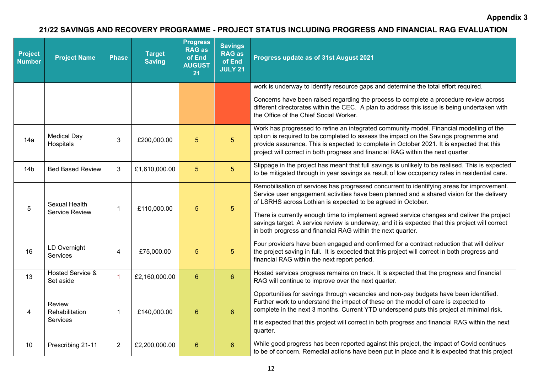## **21/22 SAVINGS AND RECOVERY PROGRAMME - PROJECT STATUS INCLUDING PROGRESS AND FINANCIAL RAG EVALUATION**

| <b>Project</b><br><b>Number</b> | <b>Project Name</b>                    | <b>Phase</b>   | <b>Target</b><br><b>Saving</b> | <b>Progress</b><br><b>RAG as</b><br>of End<br><b>AUGUST</b><br>21 | <b>Savings</b><br><b>RAG as</b><br>of End<br><b>JULY 21</b> | Progress update as of 31st August 2021                                                                                                                                                                                                                                                                                                                                                                                                                                                                                  |  |  |
|---------------------------------|----------------------------------------|----------------|--------------------------------|-------------------------------------------------------------------|-------------------------------------------------------------|-------------------------------------------------------------------------------------------------------------------------------------------------------------------------------------------------------------------------------------------------------------------------------------------------------------------------------------------------------------------------------------------------------------------------------------------------------------------------------------------------------------------------|--|--|
|                                 |                                        |                |                                |                                                                   |                                                             | work is underway to identify resource gaps and determine the total effort required.                                                                                                                                                                                                                                                                                                                                                                                                                                     |  |  |
|                                 |                                        |                |                                |                                                                   |                                                             | Concerns have been raised regarding the process to complete a procedure review across<br>different directorates within the CEC. A plan to address this issue is being undertaken with<br>the Office of the Chief Social Worker.                                                                                                                                                                                                                                                                                         |  |  |
| 14a                             | <b>Medical Day</b><br>Hospitals        | 3              | £200,000.00                    | 5                                                                 | 5 <sup>5</sup>                                              | Work has progressed to refine an integrated community model. Financial modelling of the<br>option is required to be completed to assess the impact on the Savings programme and<br>provide assurance. This is expected to complete in October 2021. It is expected that this<br>project will correct in both progress and financial RAG within the next quarter.                                                                                                                                                        |  |  |
| 14 <sub>b</sub>                 | <b>Bed Based Review</b>                | 3              | £1,610,000.00                  | 5 <sup>5</sup>                                                    | 5 <sup>5</sup>                                              | Slippage in the project has meant that full savings is unlikely to be realised. This is expected<br>to be mitigated through in year savings as result of low occupancy rates in residential care.                                                                                                                                                                                                                                                                                                                       |  |  |
| 5                               | Sexual Health<br><b>Service Review</b> | $\mathbf{1}$   | £110,000.00                    | 5 <sup>5</sup>                                                    | 5 <sup>5</sup>                                              | Remobilisation of services has progressed concurrent to identifying areas for improvement.<br>Service user engagement activities have been planned and a shared vision for the delivery<br>of LSRHS across Lothian is expected to be agreed in October.<br>There is currently enough time to implement agreed service changes and deliver the project<br>savings target. A service review is underway, and it is expected that this project will correct<br>in both progress and financial RAG within the next quarter. |  |  |
| 16                              | LD Overnight<br>Services               | $\overline{4}$ | £75,000.00                     | 5                                                                 | 5 <sup>5</sup>                                              | Four providers have been engaged and confirmed for a contract reduction that will deliver<br>the project saving in full. It is expected that this project will correct in both progress and<br>financial RAG within the next report period.                                                                                                                                                                                                                                                                             |  |  |
| 13                              | Hosted Service &<br>Set aside          | 1              | £2,160,000.00                  | $6\overline{6}$                                                   | 6 <sup>°</sup>                                              | Hosted services progress remains on track. It is expected that the progress and financial<br>RAG will continue to improve over the next quarter.                                                                                                                                                                                                                                                                                                                                                                        |  |  |
| $\overline{4}$                  | Review<br>Rehabilitation<br>Services   | $\mathbf{1}$   | £140,000.00                    | $6\phantom{a}$                                                    | $6\phantom{1}$                                              | Opportunities for savings through vacancies and non-pay budgets have been identified.<br>Further work to understand the impact of these on the model of care is expected to<br>complete in the next 3 months. Current YTD underspend puts this project at minimal risk.<br>It is expected that this project will correct in both progress and financial RAG within the next<br>quarter.                                                                                                                                 |  |  |
| 10                              | Prescribing 21-11                      | $\overline{2}$ | £2,200,000.00                  | $6\phantom{a}$                                                    | 6 <sup>°</sup>                                              | While good progress has been reported against this project, the impact of Covid continues<br>to be of concern. Remedial actions have been put in place and it is expected that this project                                                                                                                                                                                                                                                                                                                             |  |  |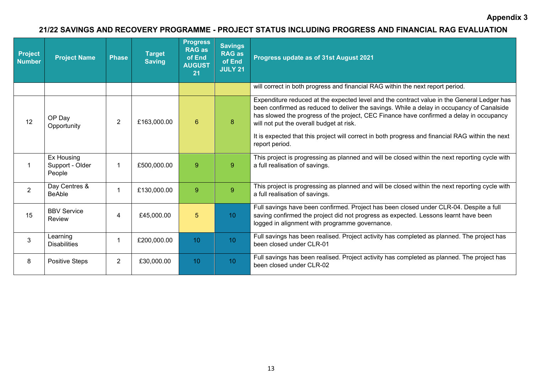## **21/22 SAVINGS AND RECOVERY PROGRAMME - PROJECT STATUS INCLUDING PROGRESS AND FINANCIAL RAG EVALUATION**

| Project<br><b>Number</b> | <b>Project Name</b>                     | <b>Phase</b>   | <b>Target</b><br><b>Saving</b> | <b>Progress</b><br><b>RAG as</b><br>of End<br><b>AUGUST</b><br>21 | <b>Savings</b><br><b>RAG as</b><br>of End<br><b>JULY 21</b> | Progress update as of 31st August 2021                                                                                                                                                                                                                                                                                                                                                                                                               |
|--------------------------|-----------------------------------------|----------------|--------------------------------|-------------------------------------------------------------------|-------------------------------------------------------------|------------------------------------------------------------------------------------------------------------------------------------------------------------------------------------------------------------------------------------------------------------------------------------------------------------------------------------------------------------------------------------------------------------------------------------------------------|
|                          |                                         |                |                                |                                                                   |                                                             | will correct in both progress and financial RAG within the next report period.                                                                                                                                                                                                                                                                                                                                                                       |
| 12                       | OP Day<br>Opportunity                   | $\overline{2}$ | £163,000.00                    | $6\overline{6}$                                                   | 8                                                           | Expenditure reduced at the expected level and the contract value in the General Ledger has<br>been confirmed as reduced to deliver the savings. While a delay in occupancy of Canalside<br>has slowed the progress of the project, CEC Finance have confirmed a delay in occupancy<br>will not put the overall budget at risk.<br>It is expected that this project will correct in both progress and financial RAG within the next<br>report period. |
|                          | Ex Housing<br>Support - Older<br>People | $\mathbf 1$    | £500,000.00                    | 9                                                                 | 9                                                           | This project is progressing as planned and will be closed within the next reporting cycle with<br>a full realisation of savings.                                                                                                                                                                                                                                                                                                                     |
| 2                        | Day Centres &<br><b>BeAble</b>          | 1              | £130,000.00                    | 9                                                                 | 9 <sup>°</sup>                                              | This project is progressing as planned and will be closed within the next reporting cycle with<br>a full realisation of savings.                                                                                                                                                                                                                                                                                                                     |
| 15                       | <b>BBV Service</b><br>Review            | 4              | £45,000.00                     | 5                                                                 | 10 <sup>°</sup>                                             | Full savings have been confirmed. Project has been closed under CLR-04. Despite a full<br>saving confirmed the project did not progress as expected. Lessons learnt have been<br>logged in alignment with programme governance.                                                                                                                                                                                                                      |
| 3                        | Learning<br><b>Disabilities</b>         | 1              | £200,000.00                    | 10 <sup>°</sup>                                                   | 10 <sup>°</sup>                                             | Full savings has been realised. Project activity has completed as planned. The project has<br>been closed under CLR-01                                                                                                                                                                                                                                                                                                                               |
| 8                        | <b>Positive Steps</b>                   | $\overline{2}$ | £30,000.00                     | 10 <sup>°</sup>                                                   | 10 <sup>°</sup>                                             | Full savings has been realised. Project activity has completed as planned. The project has<br>been closed under CLR-02                                                                                                                                                                                                                                                                                                                               |